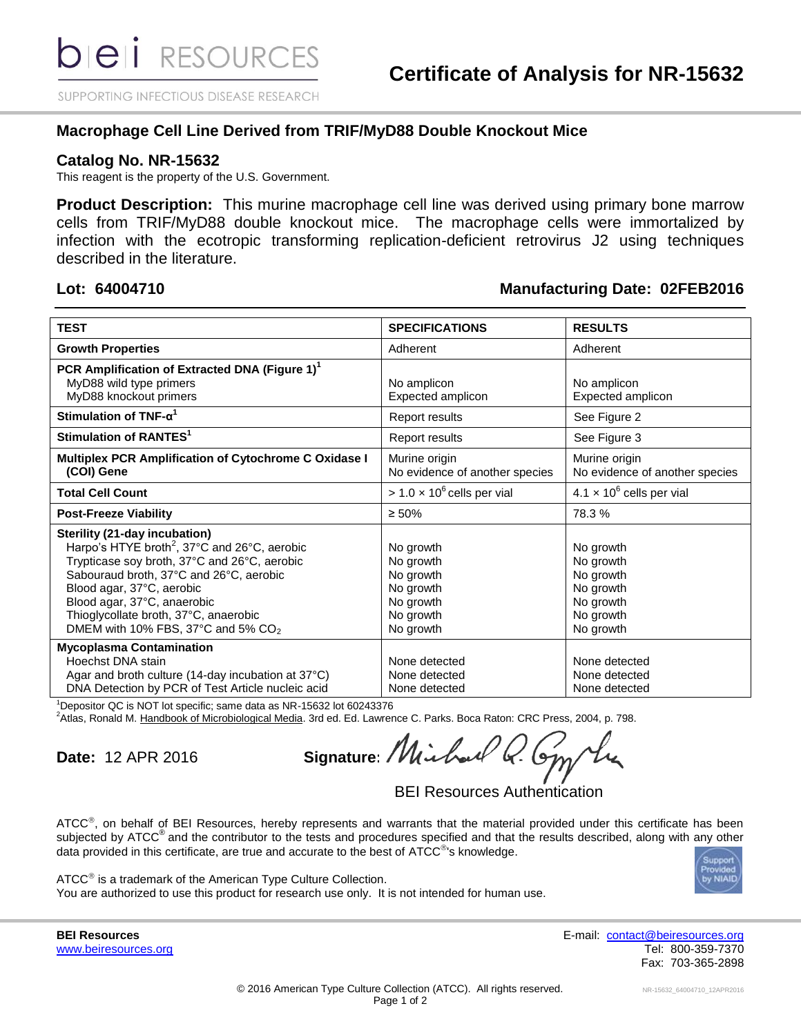SUPPORTING INFECTIOUS DISEASE RESEARCH

# **Macrophage Cell Line Derived from TRIF/MyD88 Double Knockout Mice**

## **Catalog No. NR-15632**

This reagent is the property of the U.S. Government.

**Product Description:** This murine macrophage cell line was derived using primary bone marrow cells from TRIF/MyD88 double knockout mice. The macrophage cells were immortalized by infection with the ecotropic transforming replication-deficient retrovirus J2 using techniques described in the literature.

# **Lot: 64004710 Manufacturing Date: 02FEB2016**

| <b>TEST</b>                                                                                                                                                                                                                                                                                                                                           | <b>SPECIFICATIONS</b>                                                                   | <b>RESULTS</b>                                                                          |
|-------------------------------------------------------------------------------------------------------------------------------------------------------------------------------------------------------------------------------------------------------------------------------------------------------------------------------------------------------|-----------------------------------------------------------------------------------------|-----------------------------------------------------------------------------------------|
| <b>Growth Properties</b>                                                                                                                                                                                                                                                                                                                              | Adherent                                                                                | Adherent                                                                                |
| PCR Amplification of Extracted DNA (Figure 1) <sup>1</sup><br>MyD88 wild type primers<br>MyD88 knockout primers                                                                                                                                                                                                                                       | No amplicon<br>Expected amplicon                                                        | No amplicon<br>Expected amplicon                                                        |
| Stimulation of TNF- $\alpha^1$                                                                                                                                                                                                                                                                                                                        | Report results                                                                          | See Figure 2                                                                            |
| Stimulation of RANTES <sup>1</sup>                                                                                                                                                                                                                                                                                                                    | <b>Report results</b>                                                                   | See Figure 3                                                                            |
| Multiplex PCR Amplification of Cytochrome C Oxidase I<br>(COI) Gene                                                                                                                                                                                                                                                                                   | Murine origin<br>No evidence of another species                                         | Murine origin<br>No evidence of another species                                         |
| <b>Total Cell Count</b>                                                                                                                                                                                                                                                                                                                               | $> 1.0 \times 10^6$ cells per vial                                                      | $4.1 \times 10^6$ cells per vial                                                        |
| <b>Post-Freeze Viability</b>                                                                                                                                                                                                                                                                                                                          | $\geq 50\%$                                                                             | 78.3%                                                                                   |
| Sterility (21-day incubation)<br>Harpo's HTYE broth <sup>2</sup> , 37°C and 26°C, aerobic<br>Trypticase soy broth, 37°C and 26°C, aerobic<br>Sabouraud broth, 37°C and 26°C, aerobic<br>Blood agar, 37°C, aerobic<br>Blood agar, 37°C, anaerobic<br>Thioglycollate broth, 37°C, anaerobic<br>DMEM with 10% FBS, 37 $\degree$ C and 5% CO <sub>2</sub> | No growth<br>No growth<br>No growth<br>No growth<br>No growth<br>No growth<br>No growth | No growth<br>No growth<br>No growth<br>No growth<br>No growth<br>No growth<br>No growth |
| <b>Mycoplasma Contamination</b><br>Hoechst DNA stain<br>Agar and broth culture (14-day incubation at 37°C)<br>DNA Detection by PCR of Test Article nucleic acid<br>$1 - 1 - 0$                                                                                                                                                                        | None detected<br>None detected<br>None detected                                         | None detected<br>None detected<br>None detected                                         |

<sup>1</sup>Depositor QC is NOT lot specific; same data as NR-15632 lot 60243376

<sup>2</sup>Atlas, Ronald M. Handbook of Microbiological Media. 3rd ed. Ed. Lawrence C. Parks. Boca Raton: CRC Press, 2004, p. 798.

**Date:** 12 APR 2016 **Signature:** / VU

BEI Resources Authentication

ATCC<sup>®</sup>, on behalf of BEI Resources, hereby represents and warrants that the material provided under this certificate has been subjected by ATCC<sup>®</sup> and the contributor to the tests and procedures specified and that the results described, along with any other data provided in this certificate, are true and accurate to the best of ATCC®'s knowledge.



ATCC<sup>®</sup> is a trademark of the American Type Culture Collection. You are authorized to use this product for research use only. It is not intended for human use.

**BEI Resources** E-mail: [contact@beiresources.org](mailto:contact@beiresources.org) [www.beiresources.org](http://www.beiresources.org/) **Tel: 800-359-7370** Fax: 703-365-2898